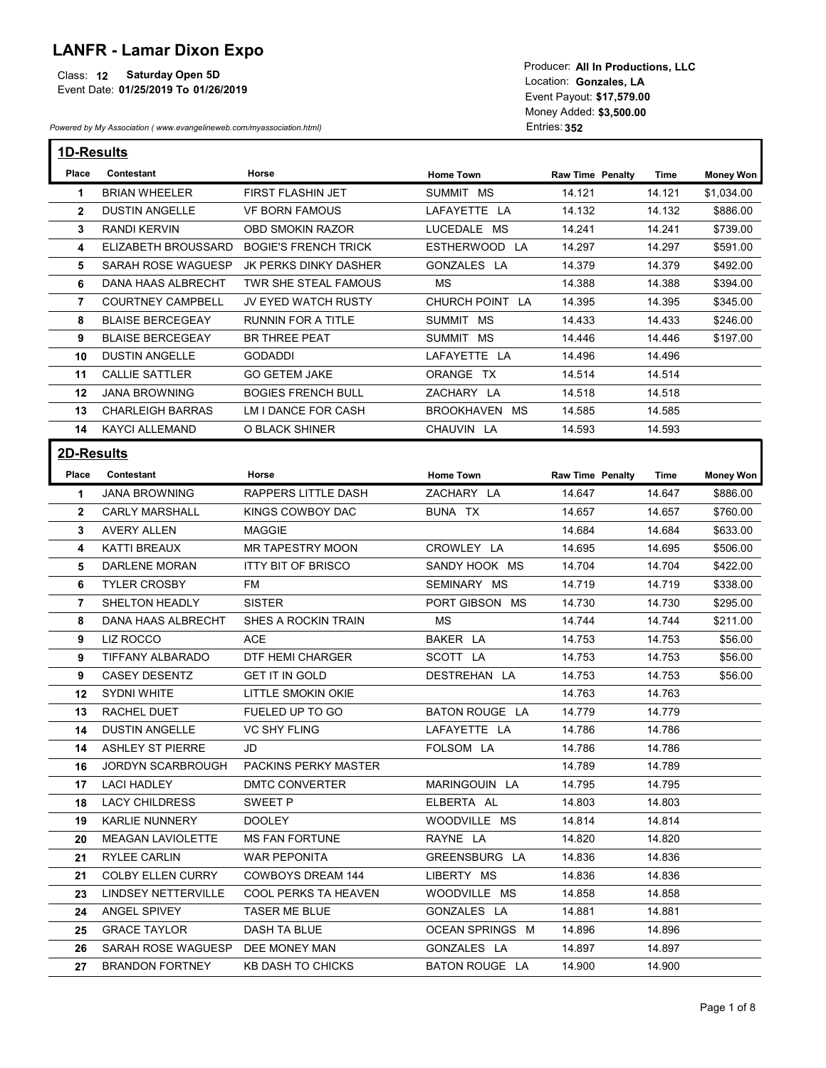## LANFR - Lamar Dixon Expo

| <b>LANFR - Lamar Dixon Expo</b><br><b>Saturday Open 5D</b><br>Class: 12<br>Event Date: 01/25/2019 To 01/26/2019<br>Powered by My Association (www.evangelineweb.com/myassociation.html) |                                              |                                                 | Producer: All In Productions, LLC<br>Location: Gonzales, LA<br>Event Payout: \$17,579.00<br>Money Added: \$3,500.00<br>Entries: 352 |                         |                  |                      |  |  |
|-----------------------------------------------------------------------------------------------------------------------------------------------------------------------------------------|----------------------------------------------|-------------------------------------------------|-------------------------------------------------------------------------------------------------------------------------------------|-------------------------|------------------|----------------------|--|--|
|                                                                                                                                                                                         | 1D-Results                                   |                                                 |                                                                                                                                     |                         |                  |                      |  |  |
| Place                                                                                                                                                                                   | Contestant                                   | Horse                                           | <b>Home Town</b>                                                                                                                    | <b>Raw Time Penalty</b> | Time             | <b>Money Won</b>     |  |  |
| -1                                                                                                                                                                                      | <b>BRIAN WHEELER</b>                         | FIRST FLASHIN JET                               | SUMMIT MS                                                                                                                           | 14.121                  | 14.121           | \$1,034.00           |  |  |
| $\overline{2}$<br>3                                                                                                                                                                     | <b>DUSTIN ANGELLE</b><br><b>RANDI KERVIN</b> | <b>VF BORN FAMOUS</b><br>OBD SMOKIN RAZOR       | LAFAYETTE LA<br>LUCEDALE MS                                                                                                         | 14.132<br>14.241        | 14.132<br>14.241 | \$886.00<br>\$739.00 |  |  |
| 4                                                                                                                                                                                       | ELIZABETH BROUSSARD                          | <b>BOGIE'S FRENCH TRICK</b>                     | ESTHERWOOD LA                                                                                                                       | 14.297                  | 14.297           | \$591.00             |  |  |
| 5                                                                                                                                                                                       | SARAH ROSE WAGUESP                           | JK PERKS DINKY DASHER                           | GONZALES LA                                                                                                                         | 14.379                  | 14.379           | \$492.00             |  |  |
| 6                                                                                                                                                                                       | <b>DANA HAAS ALBRECHT</b>                    | TWR SHE STEAL FAMOUS                            | MS                                                                                                                                  | 14.388                  | 14.388           | \$394.00             |  |  |
| 7                                                                                                                                                                                       | <b>COURTNEY CAMPBELL</b>                     | JV EYED WATCH RUSTY                             | CHURCH POINT LA                                                                                                                     | 14.395                  | 14.395           | \$345.00             |  |  |
| 8                                                                                                                                                                                       | <b>BLAISE BERCEGEAY</b>                      | RUNNIN FOR A TITLE                              | SUMMIT MS                                                                                                                           | 14.433                  | 14.433           | \$246.00             |  |  |
| 9                                                                                                                                                                                       | <b>BLAISE BERCEGEAY</b>                      | <b>BR THREE PEAT</b>                            | SUMMIT MS                                                                                                                           | 14.446                  | 14.446           | \$197.00             |  |  |
| 10                                                                                                                                                                                      | <b>DUSTIN ANGELLE</b>                        | <b>GODADDI</b>                                  | LAFAYETTE LA                                                                                                                        | 14.496                  | 14.496           |                      |  |  |
| 11                                                                                                                                                                                      | <b>CALLIE SATTLER</b>                        | <b>GO GETEM JAKE</b>                            | ORANGE TX                                                                                                                           | 14.514                  | 14.514           |                      |  |  |
|                                                                                                                                                                                         | 12 JANA BROWNING                             | <b>BOGIES FRENCH BULL</b>                       | ZACHARY LA                                                                                                                          | 14.518                  | 14.518           |                      |  |  |
|                                                                                                                                                                                         | 13 CHARLEIGH BARRAS                          | LM I DANCE FOR CASH                             | BROOKHAVEN MS                                                                                                                       | 14.585                  | 14.585           |                      |  |  |
|                                                                                                                                                                                         | 14 KAYCI ALLEMAND                            | O BLACK SHINER                                  | CHAUVIN LA                                                                                                                          | 14.593                  | 14.593           |                      |  |  |
| 2D-Results                                                                                                                                                                              |                                              |                                                 |                                                                                                                                     |                         |                  |                      |  |  |
|                                                                                                                                                                                         | Place Contestant                             | Horse                                           | <b>Home Town</b>                                                                                                                    | <b>Raw Time Penalty</b> | Time             | <b>Money Won</b>     |  |  |
| $\mathbf{1}$                                                                                                                                                                            | <b>JANA BROWNING</b>                         | RAPPERS LITTLE DASH                             | ZACHARY LA                                                                                                                          | 14.647                  | 14.647           | \$886.00             |  |  |
| $\mathbf{2}$                                                                                                                                                                            | <b>CARLY MARSHALL</b>                        | KINGS COWBOY DAC                                | BUNA TX                                                                                                                             | 14.657                  | 14.657           | \$760.00             |  |  |
| $3^{\circ}$                                                                                                                                                                             | <b>AVERY ALLEN</b>                           | MAGGIE                                          |                                                                                                                                     | 14.684                  | 14.684           | \$633.00             |  |  |
| 4                                                                                                                                                                                       | KATTI BREAUX                                 | MR TAPESTRY MOON                                | CROWLEY LA                                                                                                                          | 14.695                  | 14.695           | \$506.00             |  |  |
| 5<br>6                                                                                                                                                                                  | DARLENE MORAN<br><b>TYLER CROSBY</b>         | <b>ITTY BIT OF BRISCO</b><br>FM                 | SANDY HOOK MS<br>SEMINARY MS                                                                                                        | 14.704<br>14.719        | 14.704<br>14.719 | \$422.00<br>\$338.00 |  |  |
| $\mathbf{7}$                                                                                                                                                                            | SHELTON HEADLY                               | <b>SISTER</b>                                   | PORT GIBSON MS                                                                                                                      | 14.730                  | 14.730           | \$295.00             |  |  |
| 8                                                                                                                                                                                       | DANA HAAS ALBRECHT                           | SHES A ROCKIN TRAIN                             | MS                                                                                                                                  | 14.744                  | 14.744           | \$211.00             |  |  |
| 9                                                                                                                                                                                       | LIZ ROCCO                                    | ACE                                             | BAKER LA                                                                                                                            | 14.753                  | 14.753           | \$56.00              |  |  |
| 9                                                                                                                                                                                       | TIFFANY ALBARADO                             | DTF HEMI CHARGER                                | SCOTT LA                                                                                                                            | 14.753                  | 14.753           | \$56.00              |  |  |
| 9                                                                                                                                                                                       | <b>CASEY DESENTZ</b>                         | <b>GET IT IN GOLD</b>                           | DESTREHAN LA                                                                                                                        | 14.753                  | 14.753           | \$56.00              |  |  |
|                                                                                                                                                                                         | 12 SYDNI WHITE                               | LITTLE SMOKIN OKIE                              |                                                                                                                                     | 14.763                  | 14.763           |                      |  |  |
| 13                                                                                                                                                                                      | <b>RACHEL DUET</b>                           | FUELED UP TO GO                                 | <b>BATON ROUGE LA</b>                                                                                                               | 14.779                  | 14.779           |                      |  |  |
| 14                                                                                                                                                                                      | <b>DUSTIN ANGELLE</b>                        | <b>VC SHY FLING</b>                             | LAFAYETTE LA                                                                                                                        | 14.786                  | 14.786           |                      |  |  |
|                                                                                                                                                                                         | 14 ASHLEY ST PIERRE                          | JD                                              | FOLSOM LA                                                                                                                           | 14.786                  | 14.786           |                      |  |  |
|                                                                                                                                                                                         | JORDYN SCARBROUGH                            | PACKINS PERKY MASTER                            |                                                                                                                                     | 14.789                  | 14.789           |                      |  |  |
| 16                                                                                                                                                                                      | <b>LACI HADLEY</b>                           | DMTC CONVERTER                                  | MARINGOUIN LA                                                                                                                       | 14.795                  | 14.795           |                      |  |  |
| 17                                                                                                                                                                                      |                                              | SWEET P                                         | ELBERTA AL                                                                                                                          | 14.803                  | 14.803           |                      |  |  |
| 18                                                                                                                                                                                      | <b>LACY CHILDRESS</b>                        |                                                 |                                                                                                                                     | 14.814                  | 14.814           |                      |  |  |
| 19                                                                                                                                                                                      | <b>KARLIE NUNNERY</b>                        | <b>DOOLEY</b>                                   | WOODVILLE MS                                                                                                                        |                         |                  |                      |  |  |
| 20                                                                                                                                                                                      | <b>MEAGAN LAVIOLETTE</b>                     | <b>MS FAN FORTUNE</b>                           | RAYNE LA                                                                                                                            | 14.820                  | 14.820           |                      |  |  |
| 21                                                                                                                                                                                      | RYLEE CARLIN                                 | <b>WAR PEPONITA</b><br><b>COWBOYS DREAM 144</b> | GREENSBURG LA                                                                                                                       | 14.836                  | 14.836           |                      |  |  |
| 21                                                                                                                                                                                      | <b>COLBY ELLEN CURRY</b>                     | COOL PERKS TA HEAVEN                            | LIBERTY MS                                                                                                                          | 14.836                  | 14.836           |                      |  |  |
| 23                                                                                                                                                                                      | LINDSEY NETTERVILLE<br>24 ANGEL SPIVEY       | TASER ME BLUE                                   | WOODVILLE MS<br>GONZALES LA                                                                                                         | 14.858<br>14.881        | 14.858<br>14.881 |                      |  |  |
|                                                                                                                                                                                         | 25 GRACE TAYLOR                              | <b>DASH TA BLUE</b>                             | OCEAN SPRINGS M                                                                                                                     | 14.896                  | 14.896           |                      |  |  |
|                                                                                                                                                                                         | 26 SARAH ROSE WAGUESP DEE MONEY MAN          |                                                 | GONZALES LA                                                                                                                         | 14.897                  | 14.897           |                      |  |  |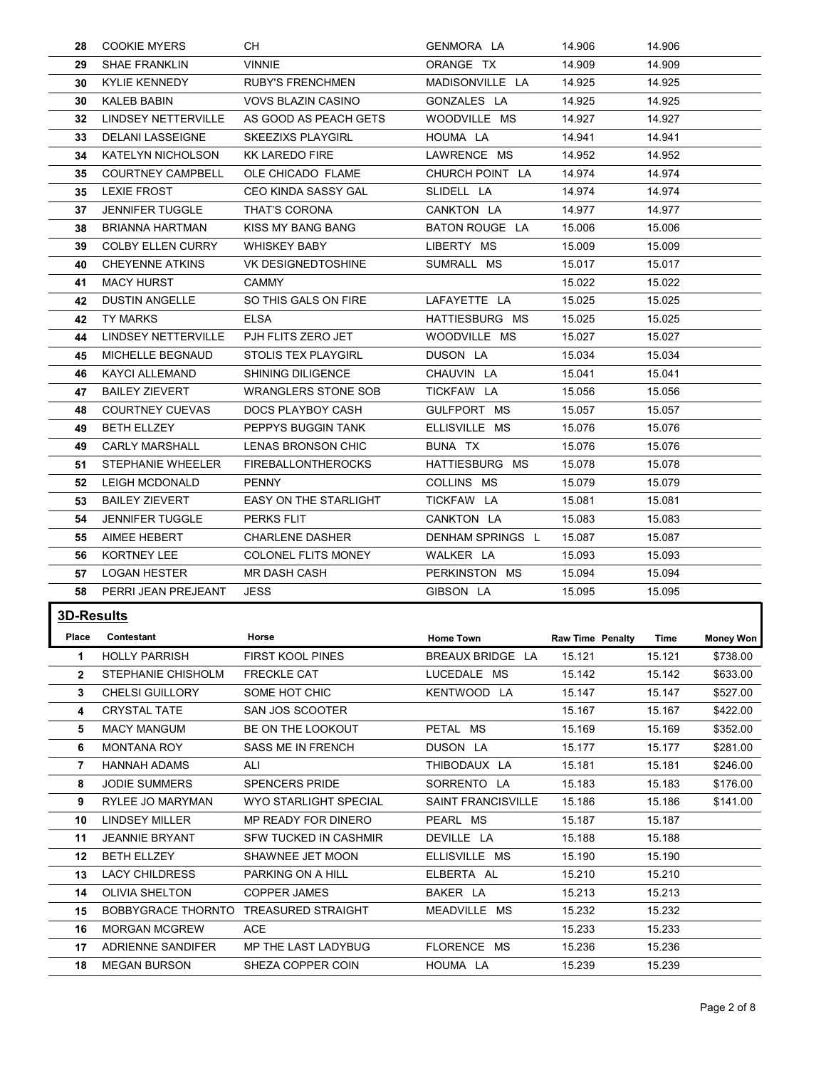|                  | <b>COOKIE MYERS</b>                            | CH                                         |                                |                            |                  |                              |
|------------------|------------------------------------------------|--------------------------------------------|--------------------------------|----------------------------|------------------|------------------------------|
| 28<br>29         | <b>SHAE FRANKLIN</b>                           | VINNIE                                     | GENMORA LA<br>ORANGE TX        | 14.906<br>14.909           | 14.906<br>14.909 |                              |
| 30               | <b>KYLIE KENNEDY</b>                           | <b>RUBY'S FRENCHMEN</b>                    | MADISONVILLE LA                | 14.925                     | 14.925           |                              |
| 30               | <b>KALEB BABIN</b>                             | <b>VOVS BLAZIN CASINO</b>                  | GONZALES LA                    | 14.925                     | 14.925           |                              |
| 32               | LINDSEY NETTERVILLE                            | AS GOOD AS PEACH GETS                      | WOODVILLE MS                   | 14.927                     | 14.927           |                              |
| 33               | DELANI LASSEIGNE                               | <b>SKEEZIXS PLAYGIRL</b>                   | HOUMA LA                       | 14.941                     | 14.941           |                              |
| 34               | KATELYN NICHOLSON                              | <b>KK LAREDO FIRE</b>                      | LAWRENCE MS                    | 14.952                     | 14.952           |                              |
| 35<br>35         | <b>COURTNEY CAMPBELL</b><br><b>LEXIE FROST</b> | OLE CHICADO FLAME<br>CEO KINDA SASSY GAL   | CHURCH POINT LA<br>SLIDELL LA  | 14.974<br>14.974           | 14.974<br>14.974 |                              |
| 37               | <b>JENNIFER TUGGLE</b>                         | THAT'S CORONA                              | CANKTON LA                     | 14.977                     | 14.977           |                              |
| 38               | <b>BRIANNA HARTMAN</b>                         | KISS MY BANG BANG                          | BATON ROUGE LA                 | 15.006                     | 15.006           |                              |
| 39               | <b>COLBY ELLEN CURRY</b>                       | <b>WHISKEY BABY</b>                        | LIBERTY MS                     | 15.009                     | 15.009           |                              |
| 40               | <b>CHEYENNE ATKINS</b>                         | VK DESIGNEDTOSHINE                         | SUMRALL MS                     | 15.017                     | 15.017           |                              |
| 41               | <b>MACY HURST</b>                              | <b>CAMMY</b>                               |                                | 15.022                     | 15.022           |                              |
| 42               | DUSTIN ANGELLE<br>42 TY MARKS                  | SO THIS GALS ON FIRE<br><b>ELSA</b>        | LAFAYETTE LA<br>HATTIESBURG MS | 15.025<br>15.025           | 15.025<br>15.025 |                              |
| 44               | <b>LINDSEY NETTERVILLE</b>                     | PJH FLITS ZERO JET                         | WOODVILLE MS                   | 15.027                     | 15.027           |                              |
| 45               | MICHELLE BEGNAUD                               | STOLIS TEX PLAYGIRL                        | DUSON LA                       | 15.034                     | 15.034           |                              |
| 46               | <b>KAYCI ALLEMAND</b>                          | SHINING DILIGENCE                          | CHAUVIN LA                     | 15.041                     | 15.041           |                              |
| 47               | <b>BAILEY ZIEVERT</b>                          | <b>WRANGLERS STONE SOB</b>                 | TICKFAW LA                     | 15.056                     | 15.056           |                              |
| 48               | <b>COURTNEY CUEVAS</b><br><b>BETH ELLZEY</b>   | DOCS PLAYBOY CASH<br>PEPPYS BUGGIN TANK    | GULFPORT MS<br>ELLISVILLE MS   | 15.057<br>15.076           | 15.057<br>15.076 |                              |
| 49<br>49         | <b>CARLY MARSHALL</b>                          | LENAS BRONSON CHIC                         | BUNA TX                        | 15.076                     | 15.076           |                              |
| 51               | STEPHANIE WHEELER                              | <b>FIREBALLONTHEROCKS</b>                  | HATTIESBURG MS                 | 15.078                     | 15.078           |                              |
| 52               | LEIGH MCDONALD                                 | <b>PENNY</b>                               | COLLINS MS                     | 15.079                     | 15.079           |                              |
| 53               | <b>BAILEY ZIEVERT</b>                          | EASY ON THE STARLIGHT                      | TICKFAW LA                     | 15.081                     | 15.081           |                              |
| 54               | <b>JENNIFER TUGGLE</b>                         | PERKS FLIT                                 | CANKTON LA                     | 15.083                     | 15.083           |                              |
| 55               | AIMEE HEBERT                                   | <b>CHARLENE DASHER</b>                     | DENHAM SPRINGS L               | 15.087                     | 15.087           |                              |
| 56<br>57         | KORTNEY LEE<br><b>LOGAN HESTER</b>             | COLONEL FLITS MONEY<br><b>MR DASH CASH</b> | WALKER LA<br>PERKINSTON MS     | 15.093<br>15.094           | 15.093<br>15.094 |                              |
| 58               | PERRI JEAN PREJEANT                            | <b>JESS</b>                                | GIBSON LA                      | 15.095                     | 15.095           |                              |
| 3D-Results       |                                                |                                            |                                |                            |                  |                              |
| Place            | Contestant                                     | Horse                                      | Home Town                      |                            | Time             |                              |
| $\mathbf 1$      | <b>HOLLY PARRISH</b>                           | FIRST KOOL PINES                           | BREAUX BRIDGE LA               | Raw Time Penalty<br>15.121 | 15.121           | <b>Money Won</b><br>\$738.00 |
| $\mathbf{2}$     | STEPHANIE CHISHOLM                             | <b>FRECKLE CAT</b>                         | LUCEDALE MS                    | 15.142                     | 15.142           | \$633.00                     |
| 3                | <b>CHELSI GUILLORY</b>                         | SOME HOT CHIC                              | KENTWOOD LA                    | 15.147                     | 15.147           | \$527.00                     |
| 4                | <b>CRYSTAL TATE</b>                            | SAN JOS SCOOTER                            |                                | 15.167                     | 15.167           | \$422.00                     |
| 5                | <b>MACY MANGUM</b>                             | BE ON THE LOOKOUT                          | PETAL MS                       | 15.169                     | 15.169           | \$352.00                     |
| 6                | <b>MONTANA ROY</b>                             | SASS ME IN FRENCH                          | DUSON LA                       | 15.177                     | 15.177           | \$281.00                     |
| 7                | <b>HANNAH ADAMS</b><br>JODIE SUMMERS           | ALI<br><b>SPENCERS PRIDE</b>               | THIBODAUX LA<br>SORRENTO LA    | 15.181<br>15.183           | 15.181<br>15.183 | \$246.00<br>\$176.00         |
| 8<br>9           | RYLEE JO MARYMAN                               | WYO STARLIGHT SPECIAL                      | <b>SAINT FRANCISVILLE</b>      | 15.186                     | 15.186           | \$141.00                     |
| 10               | <b>LINDSEY MILLER</b>                          | MP READY FOR DINERO                        | PEARL MS                       | 15.187                     | 15.187           |                              |
| 11               | JEANNIE BRYANT                                 | SFW TUCKED IN CASHMIR                      | DEVILLE LA                     | 15.188                     | 15.188           |                              |
|                  | <b>BETH ELLZEY</b>                             | SHAWNEE JET MOON                           | ELLISVILLE MS                  | 15.190                     | 15.190           |                              |
| 12 <sup>12</sup> | <b>LACY CHILDRESS</b>                          | PARKING ON A HILL                          | ELBERTA AL                     | 15.210                     | 15.210           |                              |
| 13               |                                                | <b>COPPER JAMES</b>                        | BAKER LA                       | 15.213                     | 15.213           |                              |
|                  | 14 OLIVIA SHELTON                              |                                            | MEADVILLE MS                   | 15.232                     | 15.232           |                              |
| 15               | BOBBYGRACE THORNTO TREASURED STRAIGHT          |                                            |                                |                            |                  |                              |
| 16<br>17         | <b>MORGAN MCGREW</b>                           | ACE                                        |                                | 15.233                     | 15.233           |                              |
| 18               | ADRIENNE SANDIFER<br><b>MEGAN BURSON</b>       | MP THE LAST LADYBUG<br>SHEZA COPPER COIN   | FLORENCE MS<br>HOUMA LA        | 15.236<br>15.239           | 15.236<br>15.239 |                              |
|                  |                                                |                                            |                                |                            |                  |                              |
|                  |                                                |                                            |                                |                            |                  | Page 2 of 8                  |
|                  |                                                |                                            |                                |                            |                  |                              |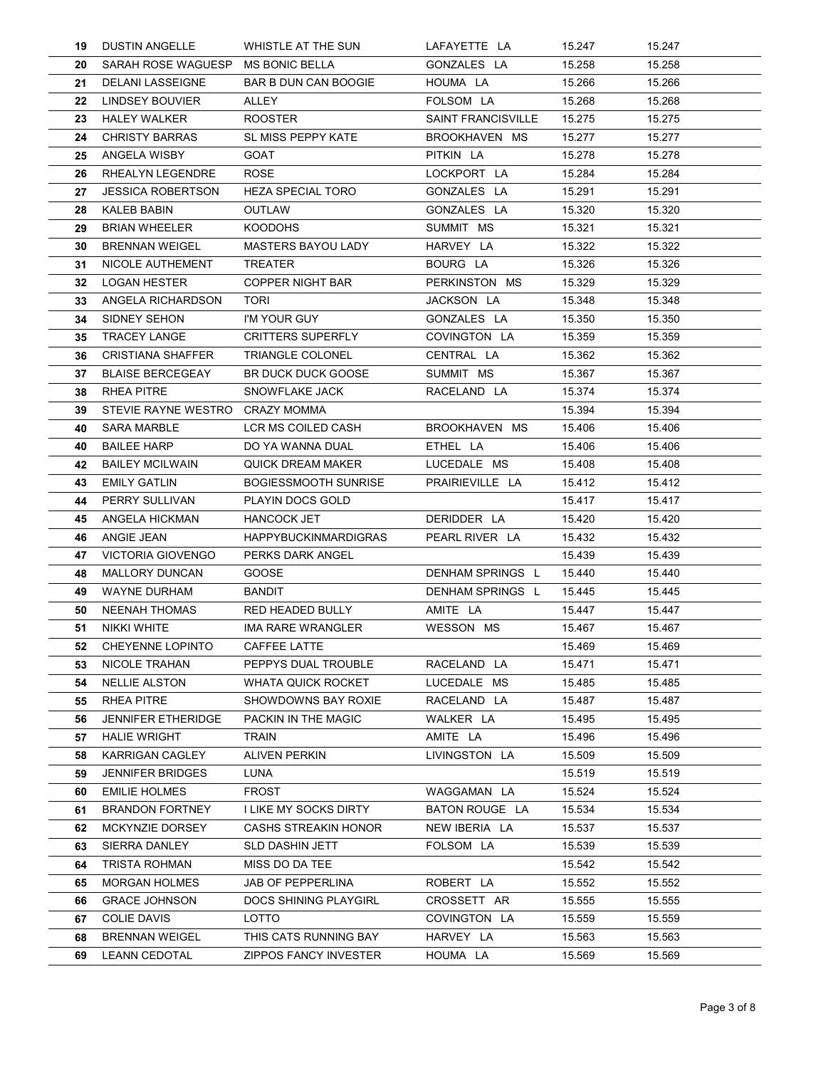| 19       | <b>DUSTIN ANGELLE</b>                               | WHISTLE AT THE SUN                                      | LAFAYETTE LA                    | 15.247           | 15.247           |
|----------|-----------------------------------------------------|---------------------------------------------------------|---------------------------------|------------------|------------------|
| 20       | SARAH ROSE WAGUESP MS BONIC BELLA                   |                                                         | GONZALES LA                     | 15.258           | 15.258           |
| 21       | DELANI LASSEIGNE                                    | BAR B DUN CAN BOOGIE                                    | HOUMA LA                        | 15.266           | 15.266           |
| 22<br>23 | LINDSEY BOUVIER<br><b>HALEY WALKER</b>              | <b>ALLEY</b><br><b>ROOSTER</b>                          | FOLSOM LA<br>SAINT FRANCISVILLE | 15.268<br>15.275 | 15.268<br>15.275 |
| 24       | <b>CHRISTY BARRAS</b>                               | SL MISS PEPPY KATE                                      | BROOKHAVEN MS                   | 15.277           | 15.277           |
| 25       | ANGELA WISBY                                        | GOAT                                                    | PITKIN LA                       | 15.278           | 15.278           |
| 26       | RHEALYN LEGENDRE<br><b>JESSICA ROBERTSON</b>        | <b>ROSE</b><br><b>HEZA SPECIAL TORO</b>                 | LOCKPORT LA<br>GONZALES LA      | 15.284<br>15.291 | 15.284<br>15.291 |
| 27<br>28 | <b>KALEB BABIN</b>                                  | OUTLAW                                                  | GONZALES LA                     | 15.320           | 15.320           |
| 29       | <b>BRIAN WHEELER</b>                                | <b>KOODOHS</b>                                          | SUMMIT MS                       | 15.321           | 15.321           |
| 30       | <b>BRENNAN WEIGEL</b>                               | <b>MASTERS BAYOU LADY</b>                               | HARVEY LA                       | 15.322           | 15.322           |
| 31<br>32 | NICOLE AUTHEMENT<br><b>LOGAN HESTER</b>             | <b>TREATER</b><br><b>COPPER NIGHT BAR</b>               | BOURG LA<br>PERKINSTON MS       | 15.326<br>15.329 | 15.326<br>15.329 |
| 33       | ANGELA RICHARDSON                                   | <b>TORI</b>                                             | JACKSON LA                      | 15.348           | 15.348           |
| 34       | SIDNEY SEHON                                        | I'M YOUR GUY                                            | GONZALES LA                     | 15.350           | 15.350           |
| 35       | <b>TRACEY LANGE</b>                                 | <b>CRITTERS SUPERFLY</b>                                | COVINGTON LA                    | 15.359           | 15.359           |
| 36       | <b>CRISTIANA SHAFFER</b><br><b>BLAISE BERCEGEAY</b> | TRIANGLE COLONEL<br><b>BR DUCK DUCK GOOSE</b>           | CENTRAL LA<br>SUMMIT MS         | 15.362<br>15.367 | 15.362<br>15.367 |
| 37<br>38 | RHEA PITRE                                          | <b>SNOWFLAKE JACK</b>                                   | RACELAND LA                     | 15.374           | 15.374           |
| 39       | STEVIE RAYNE WESTRO CRAZY MOMMA                     |                                                         |                                 | 15.394           | 15.394           |
| 40       | <b>SARA MARBLE</b>                                  | LCR MS COILED CASH                                      | BROOKHAVEN MS                   | 15.406           | 15.406           |
| 40       | <b>BAILEE HARP</b>                                  | DO YA WANNA DUAL                                        | ETHEL LA                        | 15.406           | 15.406           |
| 42<br>43 | <b>BAILEY MCILWAIN</b><br><b>EMILY GATLIN</b>       | <b>QUICK DREAM MAKER</b><br><b>BOGIESSMOOTH SUNRISE</b> | LUCEDALE MS<br>PRAIRIEVILLE LA  | 15.408<br>15.412 | 15.408<br>15.412 |
| 44       | PERRY SULLIVAN                                      | PLAYIN DOCS GOLD                                        |                                 | 15.417           | 15.417           |
| 45       | ANGELA HICKMAN                                      | HANCOCK JET                                             | DERIDDER LA                     | 15.420           | 15.420           |
| 46       | ANGIE JEAN                                          | <b>HAPPYBUCKINMARDIGRAS</b>                             | PEARL RIVER LA                  | 15.432           | 15.432           |
| 47<br>48 | <b>VICTORIA GIOVENGO</b><br><b>MALLORY DUNCAN</b>   | PERKS DARK ANGEL<br>GOOSE                               | DENHAM SPRINGS L                | 15.439<br>15.440 | 15.439<br>15.440 |
| 49       | <b>WAYNE DURHAM</b>                                 | BANDIT                                                  | DENHAM SPRINGS L                | 15.445           | 15.445           |
| 50       | NEENAH THOMAS                                       | RED HEADED BULLY                                        | AMITE LA                        | 15.447           | 15.447           |
| 51       | NIKKI WHITE                                         | IMA RARE WRANGLER                                       | WESSON MS                       | 15.467           | 15.467           |
| 52<br>53 | <b>CHEYENNE LOPINTO</b><br>NICOLE TRAHAN            | CAFFEE LATTE<br>PEPPYS DUAL TROUBLE                     | RACELAND LA                     | 15.469<br>15.471 | 15.469<br>15.471 |
| 54       | <b>NELLIE ALSTON</b>                                | WHATA QUICK ROCKET                                      | LUCEDALE MS                     | 15.485           | 15.485           |
| 55       | RHEA PITRE                                          | SHOWDOWNS BAY ROXIE                                     | RACELAND LA                     | 15.487           | 15.487           |
| 56       | <b>JENNIFER ETHERIDGE</b>                           | PACKIN IN THE MAGIC                                     | WALKER LA                       | 15.495           | 15.495           |
| 57<br>58 | <b>HALIE WRIGHT</b><br><b>KARRIGAN CAGLEY</b>       | TRAIN<br><b>ALIVEN PERKIN</b>                           | AMITE LA<br>LIVINGSTON LA       | 15.496<br>15.509 | 15.496<br>15.509 |
| 59       | <b>JENNIFER BRIDGES</b>                             | LUNA                                                    |                                 | 15.519           | 15.519           |
| 60       | <b>EMILIE HOLMES</b>                                | <b>FROST</b>                                            | WAGGAMAN LA                     | 15.524           | 15.524           |
| 61       | <b>BRANDON FORTNEY</b>                              | I LIKE MY SOCKS DIRTY                                   | BATON ROUGE LA                  | 15.534           | 15.534           |
| 62<br>63 | MCKYNZIE DORSEY<br>SIERRA DANLEY                    | <b>CASHS STREAKIN HONOR</b><br><b>SLD DASHIN JETT</b>   | NEW IBERIA LA<br>FOLSOM LA      | 15.537<br>15.539 | 15.537<br>15.539 |
| 64       | TRISTA ROHMAN                                       | MISS DO DA TEE                                          |                                 | 15.542           | 15.542           |
| 65       | <b>MORGAN HOLMES</b>                                | <b>JAB OF PEPPERLINA</b>                                | ROBERT LA                       | 15.552           | 15.552           |
| 66       | <b>GRACE JOHNSON</b>                                | DOCS SHINING PLAYGIRL                                   | CROSSETT AR                     | 15.555           | 15.555           |
| 67<br>68 | <b>COLIE DAVIS</b><br><b>BRENNAN WEIGEL</b>         | LOTTO<br>THIS CATS RUNNING BAY                          | COVINGTON LA<br>HARVEY LA       | 15.559<br>15.563 | 15.559<br>15.563 |
| 69       | <b>LEANN CEDOTAL</b>                                | <b>ZIPPOS FANCY INVESTER</b>                            |                                 |                  |                  |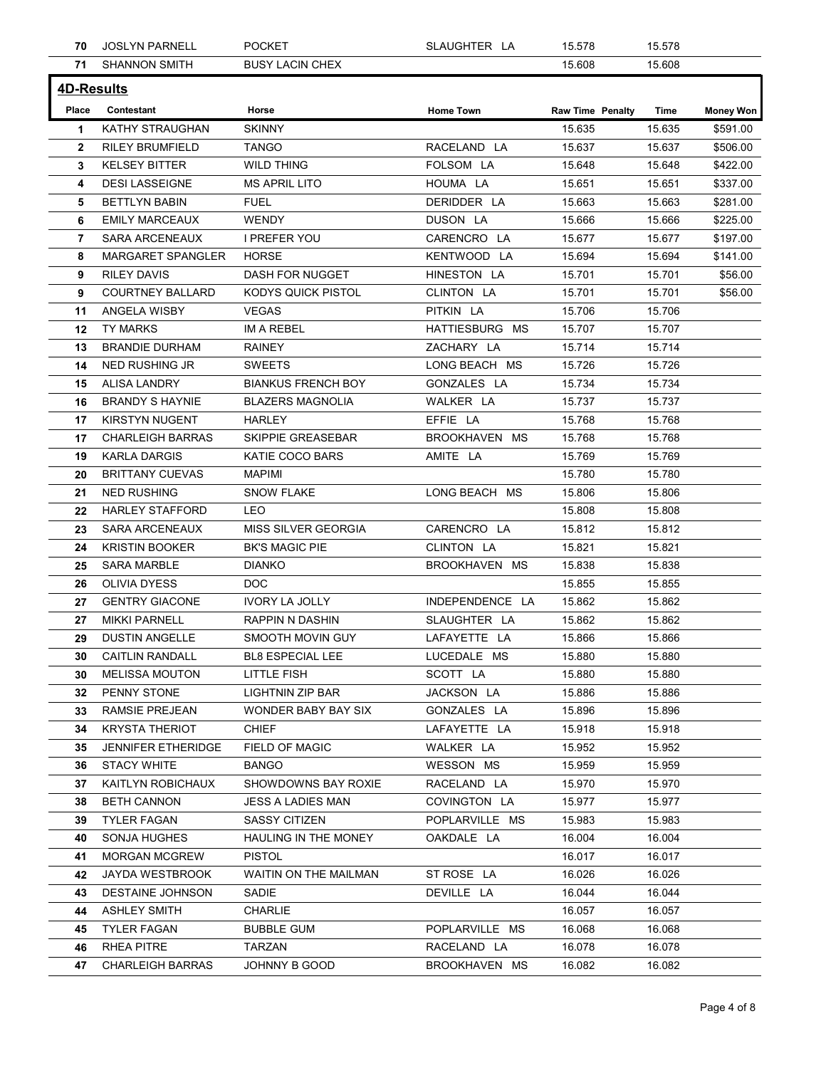|                   | <b>JOSLYN PARNELL</b>                          | <b>POCKET</b>                            | SLAUGHTER LA                | 15.578                  | 15.578           |                      |
|-------------------|------------------------------------------------|------------------------------------------|-----------------------------|-------------------------|------------------|----------------------|
|                   | <b>71 SHANNON SMITH</b>                        | <b>BUSY LACIN CHEX</b>                   |                             | 15.608                  | 15.608           |                      |
| <b>4D-Results</b> |                                                |                                          |                             |                         |                  |                      |
| Place             | Contestant                                     | Horse                                    | <b>Home Town</b>            | <b>Raw Time Penalty</b> | Time             | <b>Money Won</b>     |
| $\mathbf 1$       | KATHY STRAUGHAN<br><b>RILEY BRUMFIELD</b>      | <b>SKINNY</b><br><b>TANGO</b>            | RACELAND LA                 | 15.635<br>15.637        | 15.635           | \$591.00<br>\$506.00 |
| $\mathbf{2}$<br>3 | <b>KELSEY BITTER</b>                           | WILD THING                               | FOLSOM LA                   | 15.648                  | 15.637<br>15.648 | \$422.00             |
| 4                 | <b>DESI LASSEIGNE</b>                          | <b>MS APRIL LITO</b>                     | HOUMA LA                    | 15.651                  | 15.651           | \$337.00             |
| 5                 | <b>BETTLYN BABIN</b>                           | <b>FUEL</b>                              | DERIDDER LA                 | 15.663                  | 15.663           | \$281.00             |
| 6<br>7            | <b>EMILY MARCEAUX</b><br><b>SARA ARCENEAUX</b> | <b>WENDY</b><br>I PREFER YOU             | DUSON LA<br>CARENCRO LA     | 15.666<br>15.677        | 15.666<br>15.677 | \$225.00<br>\$197.00 |
| 8                 | MARGARET SPANGLER                              | HORSE                                    | KENTWOOD LA                 | 15.694                  | 15.694           | \$141.00             |
| 9                 | RILEY DAVIS                                    | DASH FOR NUGGET                          | HINESTON LA                 | 15.701                  | 15.701           | \$56.00              |
| 9                 | <b>COURTNEY BALLARD</b>                        | KODYS QUICK PISTOL                       | CLINTON LA                  | 15.701                  | 15.701           | \$56.00              |
|                   | 11 ANGELA WISBY<br>12 TY MARKS                 | VEGAS<br>IM A REBEL                      | PITKIN LA<br>HATTIESBURG MS | 15.706<br>15.707        | 15.706<br>15.707 |                      |
| 13                | <b>BRANDIE DURHAM</b>                          | <b>RAINEY</b>                            | ZACHARY LA                  | 15.714                  | 15.714           |                      |
|                   | 14 NED RUSHING JR                              | SWEETS                                   | LONG BEACH MS               | 15.726                  | 15.726           |                      |
|                   | 15 ALISA LANDRY                                | <b>BIANKUS FRENCH BOY</b>                | GONZALES LA                 | 15.734                  | 15.734           |                      |
| 16<br>17          | <b>BRANDY S HAYNIE</b><br>KIRSTYN NUGENT       | <b>BLAZERS MAGNOLIA</b><br>HARLEY        | WALKER LA<br>EFFIE LA       | 15.737<br>15.768        | 15.737<br>15.768 |                      |
| 17                | <b>CHARLEIGH BARRAS</b>                        | SKIPPIE GREASEBAR                        | BROOKHAVEN MS               | 15.768                  | 15.768           |                      |
|                   | 19 KARLA DARGIS                                | KATIE COCO BARS                          | AMITE LA                    | 15.769                  | 15.769           |                      |
| 20                | <b>BRITTANY CUEVAS</b>                         | <b>MAPIMI</b>                            |                             | 15.780                  | 15.780           |                      |
| 21<br>22          | <b>NED RUSHING</b><br><b>HARLEY STAFFORD</b>   | <b>SNOW FLAKE</b><br>LEO                 | LONG BEACH MS               | 15.806<br>15.808        | 15.806<br>15.808 |                      |
|                   | 23 SARA ARCENEAUX                              | MISS SILVER GEORGIA                      | CARENCRO LA                 | 15.812                  | 15.812           |                      |
| 24                | <b>KRISTIN BOOKER</b>                          | <b>BK'S MAGIC PIE</b>                    | CLINTON LA                  | 15.821                  | 15.821           |                      |
| 25                | <b>SARA MARBLE</b>                             | <b>DIANKO</b>                            | BROOKHAVEN MS               | 15.838                  | 15.838           |                      |
| 26<br>27          | OLIVIA DYESS<br><b>GENTRY GIACONE</b>          | <b>DOC</b><br><b>IVORY LA JOLLY</b>      | INDEPENDENCE LA             | 15.855<br>15.862        | 15.855<br>15.862 |                      |
| 27                | <b>MIKKI PARNELL</b>                           | RAPPIN N DASHIN                          | SLAUGHTER LA                | 15.862                  | 15.862           |                      |
| 29                | <b>DUSTIN ANGELLE</b>                          | SMOOTH MOVIN GUY                         | LAFAYETTE LA                | 15.866                  | 15.866           |                      |
| 30 <sub>o</sub>   | <b>CAITLIN RANDALL</b>                         | BL8 ESPECIAL LEE                         | LUCEDALE MS                 | 15.880                  | 15.880           |                      |
| 30                | <b>MELISSA MOUTON</b><br>32 PENNY STONE        | LITTLE FISH                              | SCOTT LA                    | 15.880                  | 15.880           |                      |
| 33                | RAMSIE PREJEAN                                 | LIGHTNIN ZIP BAR<br>WONDER BABY BAY SIX  | JACKSON LA<br>GONZALES LA   | 15.886<br>15.896        | 15.886<br>15.896 |                      |
| 34                | <b>KRYSTA THERIOT</b>                          | <b>CHIEF</b>                             | LAFAYETTE LA                | 15.918                  | 15.918           |                      |
| 35                | JENNIFER ETHERIDGE                             | FIELD OF MAGIC                           | WALKER LA                   | 15.952                  | 15.952           |                      |
| 36                | <b>STACY WHITE</b>                             | <b>BANGO</b>                             | WESSON MS                   | 15.959                  | 15.959           |                      |
| 37<br>38          | KAITLYN ROBICHAUX<br><b>BETH CANNON</b>        | SHOWDOWNS BAY ROXIE<br>JESS A LADIES MAN | RACELAND LA<br>COVINGTON LA | 15.970<br>15.977        | 15.970<br>15.977 |                      |
| 39                | <b>TYLER FAGAN</b>                             | <b>SASSY CITIZEN</b>                     | POPLARVILLE MS              | 15.983                  | 15.983           |                      |
| 40                | SONJA HUGHES                                   | HAULING IN THE MONEY                     | OAKDALE LA                  | 16.004                  | 16.004           |                      |
| 41                | <b>MORGAN MCGREW</b>                           | <b>PISTOL</b>                            |                             | 16.017                  | 16.017           |                      |
| 42                | JAYDA WESTBROOK<br>43 DESTAINE JOHNSON         | WAITIN ON THE MAILMAN<br>SADIE           | ST ROSE LA<br>DEVILLE LA    | 16.026<br>16.044        | 16.026<br>16.044 |                      |
| 44                | <b>ASHLEY SMITH</b>                            | CHARLIE                                  |                             | 16.057                  | 16.057           |                      |
| 45                | <b>TYLER FAGAN</b>                             | <b>BUBBLE GUM</b>                        | POPLARVILLE MS              | 16.068                  | 16.068           |                      |
| 46                | RHEA PITRE                                     | TARZAN                                   | RACELAND LA                 | 16.078                  | 16.078           |                      |
|                   | 47 CHARLEIGH BARRAS                            | JOHNNY B GOOD                            | BROOKHAVEN MS               | 16.082                  | 16.082           |                      |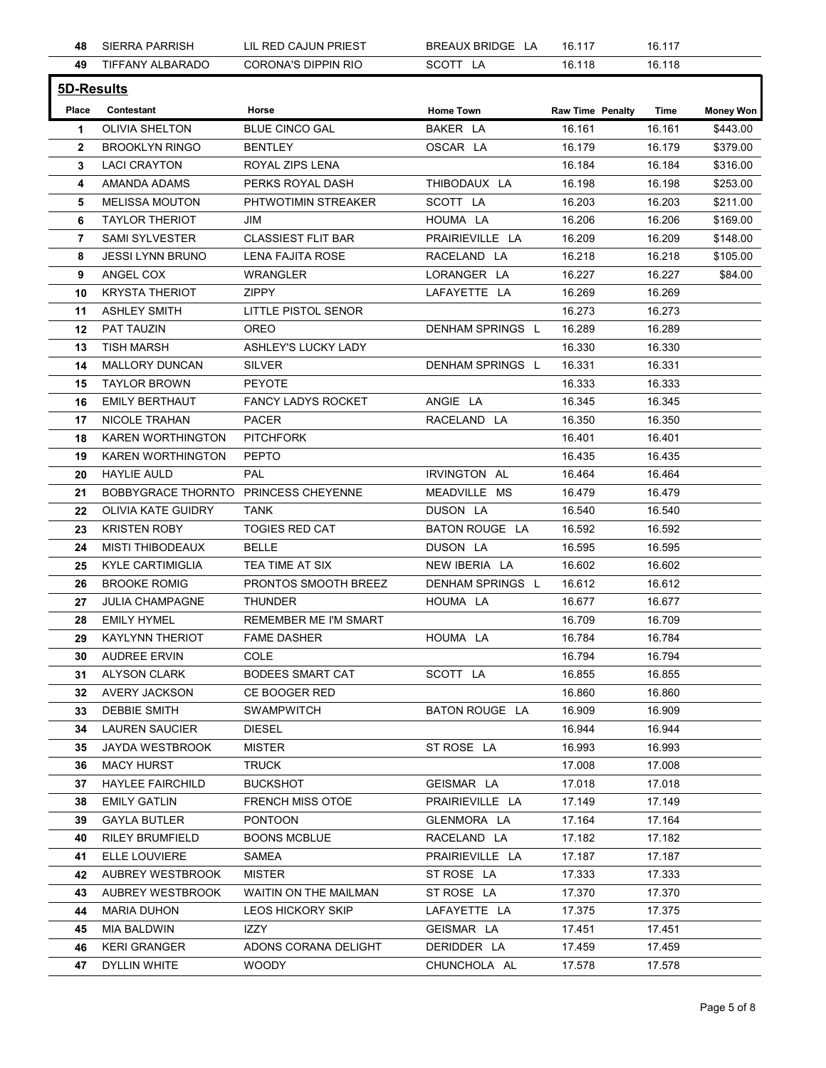| 48<br>49<br>5D-Results | <b>SIERRA PARRISH</b>                            | LIL RED CAJUN PRIEST                  | BREAUX BRIDGE LA                  | 16.117                  | 16.117           |                      |
|------------------------|--------------------------------------------------|---------------------------------------|-----------------------------------|-------------------------|------------------|----------------------|
|                        | TIFFANY ALBARADO                                 | <b>CORONA'S DIPPIN RIO</b>            | SCOTT LA                          | 16.118                  | 16.118           |                      |
|                        |                                                  |                                       |                                   |                         |                  |                      |
| Place                  | Contestant                                       | Horse                                 | <b>Home Town</b>                  | <b>Raw Time Penalty</b> | Time             | <b>Money Won</b>     |
| $\mathbf 1$            | OLIVIA SHELTON                                   | <b>BLUE CINCO GAL</b>                 | BAKER LA                          | 16.161                  | 16.161           | \$443.00             |
| $\mathbf{2}$           | <b>BROOKLYN RINGO</b>                            | <b>BENTLEY</b>                        | OSCAR LA                          | 16.179                  | 16.179           | \$379.00             |
| 3<br>4                 | <b>LACI CRAYTON</b><br>AMANDA ADAMS              | ROYAL ZIPS LENA<br>PERKS ROYAL DASH   | THIBODAUX LA                      | 16.184<br>16.198        | 16.184<br>16.198 | \$316.00<br>\$253.00 |
| 5                      | <b>MELISSA MOUTON</b>                            | PHTWOTIMIN STREAKER                   | SCOTT LA                          | 16.203                  | 16.203           | \$211.00             |
| 6                      | <b>TAYLOR THERIOT</b>                            | JIM                                   | HOUMA LA                          | 16.206                  | 16.206           | \$169.00             |
| 7                      | <b>SAMI SYLVESTER</b>                            | <b>CLASSIEST FLIT BAR</b>             | PRAIRIEVILLE LA                   | 16.209                  | 16.209           | \$148.00             |
| 8<br>9                 | <b>JESSI LYNN BRUNO</b><br>ANGEL COX             | LENA FAJITA ROSE<br>WRANGLER          | RACELAND LA<br>LORANGER LA        | 16.218<br>16.227        | 16.218<br>16.227 | \$105.00<br>\$84.00  |
| 10                     | <b>KRYSTA THERIOT</b>                            | ZIPPY                                 | LAFAYETTE LA                      | 16.269                  | 16.269           |                      |
|                        | 11 ASHLEY SMITH                                  | LITTLE PISTOL SENOR                   |                                   | 16.273                  | 16.273           |                      |
| 12                     | PAT TAUZIN                                       | OREO                                  | DENHAM SPRINGS L                  | 16.289                  | 16.289           |                      |
| 14                     | 13 TISH MARSH<br>MALLORY DUNCAN                  | ASHLEY'S LUCKY LADY<br>SILVER         | DENHAM SPRINGS L                  | 16.330<br>16.331        | 16.330<br>16.331 |                      |
|                        | 15 TAYLOR BROWN                                  | PEYOTE                                |                                   | 16.333                  | 16.333           |                      |
| 16                     | <b>EMILY BERTHAUT</b>                            | FANCY LADYS ROCKET                    | ANGIE LA                          | 16.345                  | 16.345           |                      |
|                        | 17 NICOLE TRAHAN                                 | PACER                                 | RACELAND LA                       | 16.350                  | 16.350           |                      |
| 18                     | <b>KAREN WORTHINGTON</b><br>19 KAREN WORTHINGTON | <b>PITCHFORK</b><br>PEPTO             |                                   | 16.401<br>16.435        | 16.401<br>16.435 |                      |
| 20                     | <b>HAYLIE AULD</b>                               | PAL                                   | IRVINGTON AL                      | 16.464                  | 16.464           |                      |
| 21                     | BOBBYGRACE THORNTO PRINCESS CHEYENNE             |                                       | MEADVILLE MS                      | 16.479                  | 16.479           |                      |
|                        | 22 OLIVIA KATE GUIDRY                            | TANK                                  | DUSON LA                          | 16.540                  | 16.540           |                      |
| 24                     | 23 KRISTEN ROBY<br>MISTI THIBODEAUX              | <b>TOGIES RED CAT</b><br><b>BELLE</b> | <b>BATON ROUGE LA</b><br>DUSON LA | 16.592<br>16.595        | 16.592<br>16.595 |                      |
|                        | 25 KYLE CARTIMIGLIA                              | TEA TIME AT SIX                       | NEW IBERIA LA                     | 16.602                  | 16.602           |                      |
| 26                     | <b>BROOKE ROMIG</b>                              | PRONTOS SMOOTH BREEZ                  | DENHAM SPRINGS L                  | 16.612                  | 16.612           |                      |
| 27                     | JULIA CHAMPAGNE                                  | <b>THUNDER</b>                        | HOUMA LA                          | 16.677                  | 16.677           |                      |
| 28                     | <b>EMILY HYMEL</b>                               | REMEMBER ME I'M SMART                 |                                   | 16.709                  | 16.709           |                      |
|                        | 29 KAYLYNN THERIOT<br>30 AUDREE ERVIN            | <b>FAME DASHER</b><br>COLE            | HOUMA LA                          | 16.784<br>16.794        | 16.784<br>16.794 |                      |
|                        | 31 ALYSON CLARK                                  | <b>BODEES SMART CAT</b>               | SCOTT LA                          | 16.855                  | 16.855           |                      |
|                        | 32 AVERY JACKSON                                 | CE BOOGER RED                         |                                   | 16.860                  | 16.860           |                      |
| 33                     | <b>DEBBIE SMITH</b>                              | <b>SWAMPWITCH</b>                     | BATON ROUGE LA                    | 16.909                  | 16.909           |                      |
| 35                     | 34 LAUREN SAUCIER<br>JAYDA WESTBROOK             | <b>DIESEL</b><br><b>MISTER</b>        | ST ROSE LA                        | 16.944<br>16.993        | 16.944<br>16.993 |                      |
| 36                     | <b>MACY HURST</b>                                | <b>TRUCK</b>                          |                                   | 17.008                  | 17.008           |                      |
| 37                     | <b>HAYLEE FAIRCHILD</b>                          | <b>BUCKSHOT</b>                       | GEISMAR LA                        | 17.018                  | 17.018           |                      |
| 38                     | <b>EMILY GATLIN</b>                              | <b>FRENCH MISS OTOE</b>               | PRAIRIEVILLE LA                   | 17.149                  | 17.149           |                      |
| 39                     | <b>GAYLA BUTLER</b><br><b>RILEY BRUMFIELD</b>    | <b>PONTOON</b><br><b>BOONS MCBLUE</b> | GLENMORA LA<br>RACELAND LA        | 17.164<br>17.182        | 17.164<br>17.182 |                      |
| 40<br>41               | ELLE LOUVIERE                                    | SAMEA                                 | PRAIRIEVILLE LA                   | 17.187                  | 17.187           |                      |
|                        | 42 AUBREY WESTBROOK                              | <b>MISTER</b>                         | ST ROSE LA                        | 17.333                  | 17.333           |                      |
|                        | 43 AUBREY WESTBROOK                              | WAITIN ON THE MAILMAN                 | ST ROSE LA                        | 17.370                  | 17.370           |                      |
| 44                     | <b>MARIA DUHON</b>                               | LEOS HICKORY SKIP                     | LAFAYETTE LA                      | 17.375                  | 17.375           |                      |
| 45<br>46               | MIA BALDWIN<br><b>KERI GRANGER</b>               | <b>IZZY</b><br>ADONS CORANA DELIGHT   | GEISMAR LA<br>DERIDDER LA         | 17.451<br>17.459        | 17.451<br>17.459 |                      |
| 47                     | <b>DYLLIN WHITE</b>                              | <b>WOODY</b>                          | CHUNCHOLA AL                      | 17.578                  | 17.578           |                      |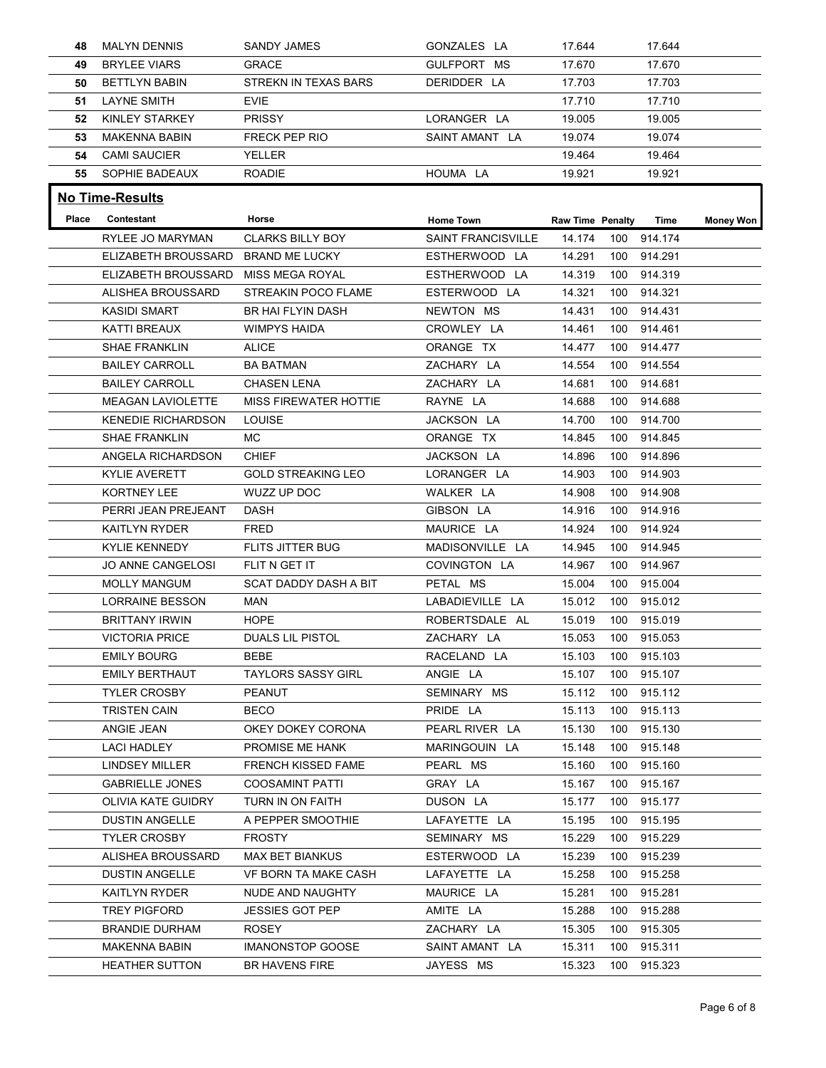| 48    |                                              |                                          |                            |                         |            |                        |                  |
|-------|----------------------------------------------|------------------------------------------|----------------------------|-------------------------|------------|------------------------|------------------|
|       |                                              |                                          |                            |                         |            |                        |                  |
|       |                                              |                                          |                            |                         |            |                        |                  |
|       |                                              |                                          |                            |                         |            |                        |                  |
|       |                                              |                                          |                            |                         |            |                        |                  |
|       |                                              |                                          |                            |                         |            |                        |                  |
|       |                                              |                                          |                            |                         |            |                        |                  |
|       |                                              |                                          |                            |                         |            |                        |                  |
|       |                                              |                                          |                            |                         |            |                        |                  |
|       |                                              |                                          |                            |                         |            |                        |                  |
|       |                                              |                                          |                            |                         |            |                        |                  |
|       | <b>MALYN DENNIS</b>                          | <b>SANDY JAMES</b>                       | GONZALES LA                | 17.644                  |            | 17.644                 |                  |
| 49    | <b>BRYLEE VIARS</b>                          | <b>GRACE</b>                             | GULFPORT MS                | 17.670                  |            | 17.670                 |                  |
| 50    | <b>BETTLYN BABIN</b>                         | <b>STREKN IN TEXAS BARS</b>              | DERIDDER LA                | 17.703                  |            | 17.703                 |                  |
| 51    | <b>LAYNE SMITH</b>                           | <b>EVIE</b>                              |                            | 17.710                  |            | 17.710                 |                  |
| 52    | KINLEY STARKEY                               | PRISSY                                   | LORANGER LA                | 19.005                  |            | 19.005                 |                  |
| 53    | MAKENNA BABIN                                | <b>FRECK PEP RIO</b>                     | SAINT AMANT LA             | 19.074                  |            | 19.074                 |                  |
| 54    | <b>CAMI SAUCIER</b>                          | YELLER                                   |                            | 19.464                  |            | 19.464                 |                  |
|       | <b>55 SOPHIE BADEAUX</b>                     | ROADIE                                   | HOUMA LA                   | 19.921                  |            | 19.921                 |                  |
|       | <b>No Time-Results</b>                       |                                          |                            |                         |            |                        |                  |
| Place | Contestant                                   | Horse                                    | <b>Home Town</b>           | <b>Raw Time Penalty</b> |            | Time                   | <b>Money Won</b> |
|       | RYLEE JO MARYMAN                             | <b>CLARKS BILLY BOY</b>                  | <b>SAINT FRANCISVILLE</b>  | 14.174                  |            | 100 914.174            |                  |
|       | ELIZABETH BROUSSARD                          | BRAND ME LUCKY                           | ESTHERWOOD LA              | 14.291                  | 100        | 914.291                |                  |
|       | ELIZABETH BROUSSARD MISS MEGA ROYAL          |                                          | ESTHERWOOD LA              | 14.319                  | 100        | 914.319                |                  |
|       | ALISHEA BROUSSARD<br><b>KASIDI SMART</b>     | STREAKIN POCO FLAME                      | ESTERWOOD LA               | 14.321                  | 100        | 914.321                |                  |
|       | KATTI BREAUX                                 | BR HAI FLYIN DASH<br><b>WIMPYS HAIDA</b> | NEWTON MS<br>CROWLEY LA    | 14.431<br>14.461        | 100        | 100 914.431<br>914.461 |                  |
|       | <b>SHAE FRANKLIN</b>                         | <b>ALICE</b>                             | ORANGE TX                  | 14.477                  | 100        | 914.477                |                  |
|       | <b>BAILEY CARROLL</b>                        | <b>BA BATMAN</b>                         | ZACHARY LA                 | 14.554                  | 100        | 914.554                |                  |
|       | <b>BAILEY CARROLL</b>                        | <b>CHASEN LENA</b>                       | ZACHARY LA                 | 14.681                  | 100        | 914.681                |                  |
|       | MEAGAN LAVIOLETTE                            | <b>MISS FIREWATER HOTTIE</b>             | RAYNE LA                   | 14.688                  | 100        | 914.688                |                  |
|       | <b>KENEDIE RICHARDSON</b>                    | LOUISE                                   | JACKSON LA                 | 14.700                  | 100        | 914.700                |                  |
|       | <b>SHAE FRANKLIN</b>                         | MC.                                      | ORANGE TX                  | 14.845                  | 100        | 914.845                |                  |
|       | ANGELA RICHARDSON                            | CHIEF                                    | JACKSON LA                 | 14.896                  | 100        | 914.896                |                  |
|       | <b>KYLIE AVERETT</b><br>KORTNEY LEE          | <b>GOLD STREAKING LEO</b><br>WUZZ UP DOC | LORANGER LA<br>WALKER LA   | 14.903<br>14.908        | 100<br>100 | 914.903<br>914.908     |                  |
|       | PERRI JEAN PREJEANT                          | DASH                                     | GIBSON LA                  | 14.916                  | 100        | 914.916                |                  |
|       | <b>KAITLYN RYDER</b>                         | FRED                                     | MAURICE LA                 | 14.924                  | 100        | 914.924                |                  |
|       | <b>KYLIE KENNEDY</b>                         | FLITS JITTER BUG                         | MADISONVILLE LA            | 14.945                  | 100        | 914.945                |                  |
|       | JO ANNE CANGELOSI                            | FLIT N GET IT                            | COVINGTON LA               | 14.967                  | 100        | 914.967                |                  |
|       | <b>MOLLY MANGUM</b>                          | <b>SCAT DADDY DASH A BIT</b>             | PETAL MS                   | 15.004                  | 100        | 915.004                |                  |
|       | <b>LORRAINE BESSON</b>                       | MAN                                      | LABADIEVILLE LA            | 15.012                  |            | 100 915.012            |                  |
|       | <b>BRITTANY IRWIN</b>                        | <b>HOPE</b>                              | ROBERTSDALE AL             | 15.019                  | 100        | 915.019                |                  |
|       | <b>VICTORIA PRICE</b>                        | DUALS LIL PISTOL                         | ZACHARY LA                 | 15.053                  | 100        | 915.053                |                  |
|       | <b>EMILY BOURG</b>                           | <b>BEBE</b>                              | RACELAND LA                | 15.103                  | 100        | 915.103                |                  |
|       | <b>EMILY BERTHAUT</b><br><b>TYLER CROSBY</b> | <b>TAYLORS SASSY GIRL</b><br>PEANUT      | ANGIE LA<br>SEMINARY MS    | 15.107<br>15.112        | 100<br>100 | 915.107<br>915.112     |                  |
|       | <b>TRISTEN CAIN</b>                          | <b>BECO</b>                              | PRIDE LA                   | 15.113                  | 100        | 915.113                |                  |
|       | ANGIE JEAN                                   | OKEY DOKEY CORONA                        | PEARL RIVER LA             | 15.130                  | 100        | 915.130                |                  |
|       | <b>LACI HADLEY</b>                           | PROMISE ME HANK                          | MARINGOUIN LA              | 15.148                  | 100        | 915.148                |                  |
|       | LINDSEY MILLER                               | <b>FRENCH KISSED FAME</b>                | PEARL MS                   | 15.160                  | 100        | 915.160                |                  |
|       | <b>GABRIELLE JONES</b>                       | <b>COOSAMINT PATTI</b>                   | GRAY LA                    | 15.167                  | 100        | 915.167                |                  |
|       | OLIVIA KATE GUIDRY                           | TURN IN ON FAITH                         | DUSON LA                   | 15.177                  | 100        | 915.177                |                  |
|       | <b>DUSTIN ANGELLE</b>                        | A PEPPER SMOOTHIE                        | LAFAYETTE LA               | 15.195                  | 100        | 915.195                |                  |
|       | <b>TYLER CROSBY</b>                          | <b>FROSTY</b>                            | SEMINARY MS                | 15.229                  | 100        | 915.229                |                  |
|       | ALISHEA BROUSSARD                            | MAX BET BIANKUS                          | ESTERWOOD LA               | 15.239                  | 100        | 915.239                |                  |
|       | DUSTIN ANGELLE<br><b>KAITLYN RYDER</b>       | VF BORN TA MAKE CASH<br>NUDE AND NAUGHTY | LAFAYETTE LA<br>MAURICE LA | 15.258<br>15.281        | 100        | 915.258<br>100 915.281 |                  |
|       | <b>TREY PIGFORD</b>                          | JESSIES GOT PEP                          | AMITE LA                   | 15.288                  | 100        | 915.288                |                  |
|       | <b>BRANDIE DURHAM</b>                        | <b>ROSEY</b>                             | ZACHARY LA                 | 15.305                  | 100        | 915.305                |                  |
|       | <b>MAKENNA BABIN</b>                         | <b>IMANONSTOP GOOSE</b>                  | SAINT AMANT LA             | 15.311                  | 100        | 915.311                |                  |
|       |                                              | BR HAVENS FIRE                           |                            |                         |            |                        |                  |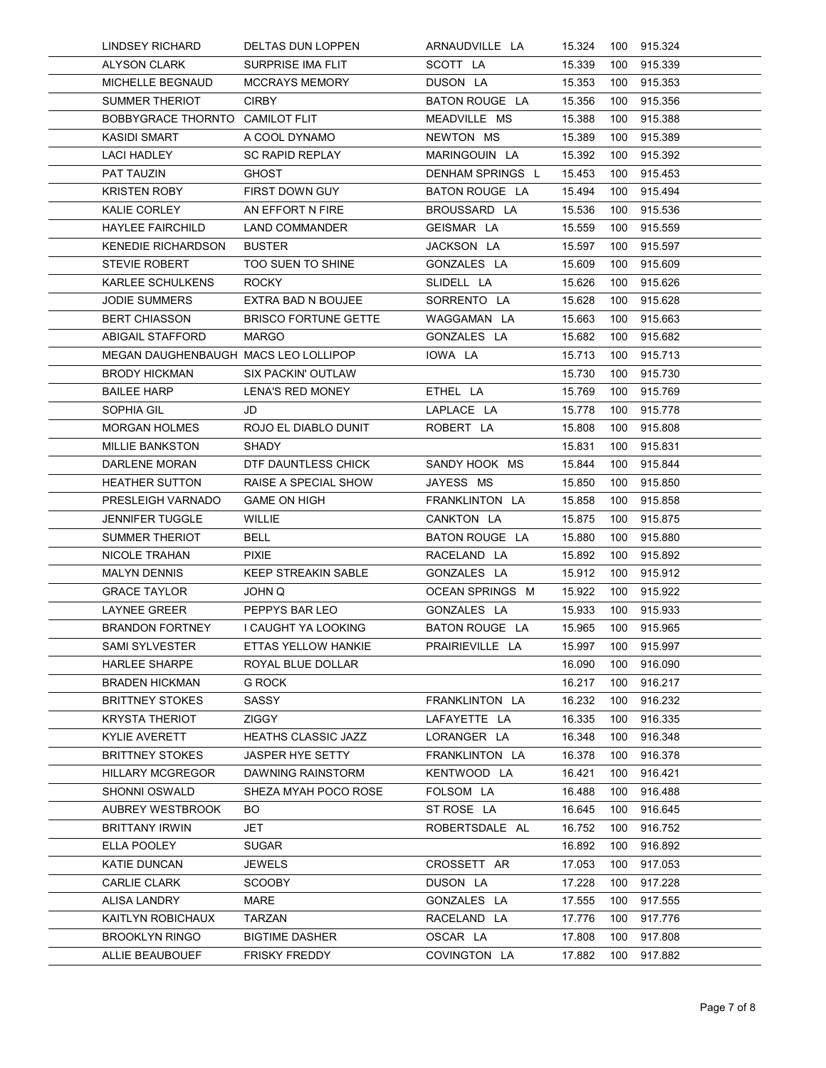| <b>LINDSEY RICHARD</b>                                 | DELTAS DUN LOPPEN                          | ARNAUDVILLE LA                    | 15.324           | 100        | 915.324                |  |
|--------------------------------------------------------|--------------------------------------------|-----------------------------------|------------------|------------|------------------------|--|
| <b>ALYSON CLARK</b>                                    | SURPRISE IMA FLIT                          | SCOTT LA                          | 15.339           | 100        | 915.339                |  |
| MICHELLE BEGNAUD                                       | <b>MCCRAYS MEMORY</b>                      | DUSON LA                          | 15.353           | 100        | 915.353                |  |
| <b>SUMMER THERIOT</b>                                  | <b>CIRBY</b>                               | BATON ROUGE LA                    | 15.356           | 100        | 915.356                |  |
| BOBBYGRACE THORNTO CAMILOT FLIT<br><b>KASIDI SMART</b> |                                            | MEADVILLE MS<br>NEWTON MS         | 15.388<br>15.389 | 100<br>100 | 915.388<br>915.389     |  |
| <b>LACI HADLEY</b>                                     | A COOL DYNAMO<br><b>SC RAPID REPLAY</b>    | MARINGOUIN LA                     | 15.392           | 100        | 915.392                |  |
| PAT TAUZIN                                             | <b>GHOST</b>                               | DENHAM SPRINGS L                  | 15.453           | 100        | 915.453                |  |
| <b>KRISTEN ROBY</b>                                    | FIRST DOWN GUY                             | <b>BATON ROUGE LA</b>             | 15.494           | 100        | 915.494                |  |
| KALIE CORLEY                                           | AN EFFORT N FIRE                           | BROUSSARD LA                      | 15.536           | 100        | 915.536                |  |
| <b>HAYLEE FAIRCHILD</b>                                | LAND COMMANDER                             | GEISMAR LA                        | 15.559           | 100        | 915.559                |  |
| <b>KENEDIE RICHARDSON</b><br><b>STEVIE ROBERT</b>      | <b>BUSTER</b><br>TOO SUEN TO SHINE         | JACKSON LA<br>GONZALES LA         | 15.597<br>15.609 | 100<br>100 | 915.597<br>915.609     |  |
| <b>KARLEE SCHULKENS</b>                                | <b>ROCKY</b>                               | SLIDELL LA                        | 15.626           |            | 100 915.626            |  |
| JODIE SUMMERS                                          | EXTRA BAD N BOUJEE                         | SORRENTO LA                       | 15.628           | 100        | 915.628                |  |
| <b>BERT CHIASSON</b>                                   | <b>BRISCO FORTUNE GETTE</b>                | WAGGAMAN LA                       | 15.663           |            | 100 915.663            |  |
| <b>ABIGAIL STAFFORD</b>                                | <b>MARGO</b>                               | GONZALES LA                       | 15.682           | 100        | 915.682                |  |
|                                                        | MEGAN DAUGHENBAUGH MACS LEO LOLLIPOP       | IOWA LA                           | 15.713           | 100        | 915.713                |  |
| <b>BRODY HICKMAN</b><br><b>BAILEE HARP</b>             | SIX PACKIN' OUTLAW<br>LENA'S RED MONEY     | ETHEL LA                          | 15.730<br>15.769 | 100        | 915.730<br>100 915.769 |  |
| SOPHIA GIL                                             | JD                                         | LAPLACE LA                        | 15.778           | 100        | 915.778                |  |
| <b>MORGAN HOLMES</b>                                   | ROJO EL DIABLO DUNIT                       | ROBERT LA                         | 15.808           | 100        | 915.808                |  |
| <b>MILLIE BANKSTON</b>                                 | SHADY                                      |                                   | 15.831           | 100        | 915.831                |  |
| DARLENE MORAN                                          | DTF DAUNTLESS CHICK                        | SANDY HOOK MS                     | 15.844           | 100        | 915.844                |  |
| <b>HEATHER SUTTON</b>                                  | RAISE A SPECIAL SHOW                       | JAYESS MS                         | 15.850           | 100        | 915.850                |  |
| PRESLEIGH VARNADO<br><b>JENNIFER TUGGLE</b>            | <b>GAME ON HIGH</b><br>WILLIE              | FRANKLINTON LA<br>CANKTON LA      | 15.858<br>15.875 | 100<br>100 | 915.858<br>915.875     |  |
| SUMMER THERIOT                                         | <b>BELL</b>                                | BATON ROUGE LA                    | 15.880           | 100        | 915.880                |  |
| NICOLE TRAHAN                                          | <b>PIXIE</b>                               | RACELAND LA                       | 15.892           | 100        | 915.892                |  |
| <b>MALYN DENNIS</b>                                    | <b>KEEP STREAKIN SABLE</b>                 | GONZALES LA                       | 15.912           | 100        | 915.912                |  |
| <b>GRACE TAYLOR</b>                                    | JOHN Q                                     | OCEAN SPRINGS M                   | 15.922           | 100        | 915.922                |  |
| <b>LAYNEE GREER</b>                                    | PEPPYS BAR LEO                             | GONZALES LA                       | 15.933           | 100        | 915.933                |  |
| <b>BRANDON FORTNEY</b><br>SAMI SYLVESTER               | I CAUGHT YA LOOKING<br>ETTAS YELLOW HANKIE | BATON ROUGE LA<br>PRAIRIEVILLE LA | 15.965<br>15.997 | 100        | 915.965<br>915.997     |  |
| <b>HARLEE SHARPE</b>                                   | ROYAL BLUE DOLLAR                          |                                   | 16.090           | 100<br>100 | 916.090                |  |
| <b>BRADEN HICKMAN</b>                                  | G ROCK                                     |                                   | 16.217           | 100        | 916.217                |  |
| <b>BRITTNEY STOKES</b>                                 | SASSY                                      | FRANKLINTON LA                    | 16.232           | 100        | 916.232                |  |
| <b>KRYSTA THERIOT</b>                                  | ZIGGY                                      | LAFAYETTE LA                      | 16.335           | 100        | 916.335                |  |
| <b>KYLIE AVERETT</b>                                   | <b>HEATHS CLASSIC JAZZ</b>                 | LORANGER LA                       | 16.348           | 100        | 916.348                |  |
| <b>BRITTNEY STOKES</b>                                 | JASPER HYE SETTY                           | FRANKLINTON LA                    | 16.378           | 100        | 916.378                |  |
| <b>HILLARY MCGREGOR</b><br><b>SHONNI OSWALD</b>        | DAWNING RAINSTORM<br>SHEZA MYAH POCO ROSE  | KENTWOOD LA<br>FOLSOM LA          | 16.421<br>16.488 | 100<br>100 | 916.421<br>916.488     |  |
| AUBREY WESTBROOK                                       | <b>BO</b>                                  | ST ROSE LA                        | 16.645           | 100        | 916.645                |  |
| <b>BRITTANY IRWIN</b>                                  | JET                                        | ROBERTSDALE AL                    | 16.752           | 100        | 916.752                |  |
| ELLA POOLEY                                            | <b>SUGAR</b>                               |                                   | 16.892           | 100        | 916.892                |  |
| KATIE DUNCAN                                           | JEWELS                                     | CROSSETT AR                       | 17.053           | 100        | 917.053                |  |
| <b>CARLIE CLARK</b>                                    | <b>SCOOBY</b>                              | DUSON LA                          | 17.228           | 100        | 917.228                |  |
| ALISA LANDRY                                           | MARE                                       | GONZALES LA                       |                  |            | 17.555 100 917.555     |  |
| KAITLYN ROBICHAUX                                      | <b>TARZAN</b><br><b>BIGTIME DASHER</b>     | RACELAND LA<br>OSCAR LA           | 17.776           | 100        | 917.776                |  |
| <b>BROOKLYN RINGO</b>                                  |                                            |                                   | 17.808           | 100        | 917.808                |  |